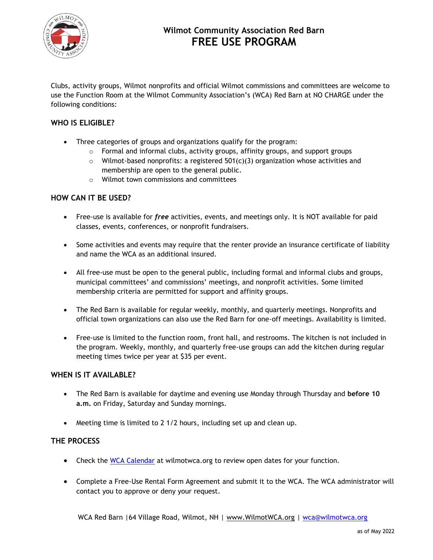

# **Wilmot Community Association Red Barn FREE USE PROGRAM**

Clubs, activity groups, Wilmot nonprofits and official Wilmot commissions and committees are welcome to use the Function Room at the Wilmot Community Association's (WCA) Red Barn at NO CHARGE under the following conditions:

## **WHO IS ELIGIBLE?**

- Three categories of groups and organizations qualify for the program:
	- o Formal and informal clubs, activity groups, affinity groups, and support groups
	- $\circ$  Wilmot-based nonprofits: a registered 501(c)(3) organization whose activities and membership are open to the general public.
	- o Wilmot town commissions and committees

## **HOW CAN IT BE USED?**

- Free-use is available for *free* activities, events, and meetings only. It is NOT available for paid classes, events, conferences, or nonprofit fundraisers.
- Some activities and events may require that the renter provide an insurance certificate of liability and name the WCA as an additional insured.
- All free-use must be open to the general public, including formal and informal clubs and groups, municipal committees' and commissions' meetings, and nonprofit activities. Some limited membership criteria are permitted for support and affinity groups.
- The Red Barn is available for regular weekly, monthly, and quarterly meetings. Nonprofits and official town organizations can also use the Red Barn for one-off meetings. Availability is limited.
- Free-use is limited to the function room, front hall, and restrooms. The kitchen is not included in the program. Weekly, monthly, and quarterly free-use groups can add the kitchen during regular meeting times twice per year at \$35 per event.

## **WHEN IS IT AVAILABLE?**

- The Red Barn is available for daytime and evening use Monday through Thursday and **before 10 a.m.** on Friday, Saturday and Sunday mornings.
- Meeting time is limited to 2 1/2 hours, including set up and clean up.

## **THE PROCESS**

- Check the [WCA Calendar](https://wilmotwca.org/calendar/) at wilmotwca.org to review open dates for your function.
- Complete a Free-Use Rental Form Agreement and submit it to the WCA. The WCA administrator will contact you to approve or deny your request.

WCA Red Barn |64 Village Road, Wilmot, NH | [www.WilmotWCA.org](http://www.wilmotwca.org/) | [wca@wilmotwca.org](mailto:wca@wilmotwca.org)